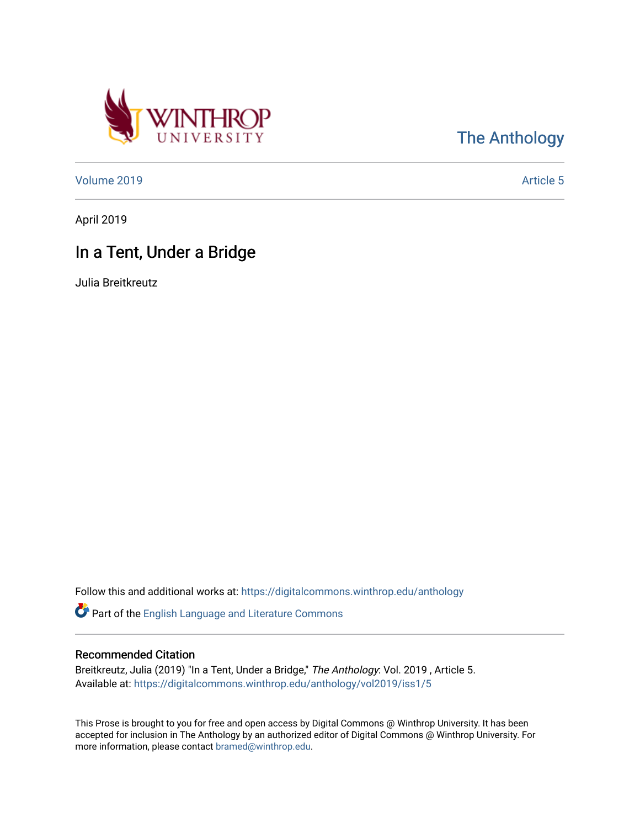

[The Anthology](https://digitalcommons.winthrop.edu/anthology) 

[Volume 2019](https://digitalcommons.winthrop.edu/anthology/vol2019) **Article 5** Article 5

April 2019

## In a Tent, Under a Bridge

Julia Breitkreutz

Follow this and additional works at: [https://digitalcommons.winthrop.edu/anthology](https://digitalcommons.winthrop.edu/anthology?utm_source=digitalcommons.winthrop.edu%2Fanthology%2Fvol2019%2Fiss1%2F5&utm_medium=PDF&utm_campaign=PDFCoverPages) 

Part of the [English Language and Literature Commons](http://network.bepress.com/hgg/discipline/455?utm_source=digitalcommons.winthrop.edu%2Fanthology%2Fvol2019%2Fiss1%2F5&utm_medium=PDF&utm_campaign=PDFCoverPages)

## Recommended Citation

Breitkreutz, Julia (2019) "In a Tent, Under a Bridge," The Anthology: Vol. 2019 , Article 5. Available at: [https://digitalcommons.winthrop.edu/anthology/vol2019/iss1/5](https://digitalcommons.winthrop.edu/anthology/vol2019/iss1/5?utm_source=digitalcommons.winthrop.edu%2Fanthology%2Fvol2019%2Fiss1%2F5&utm_medium=PDF&utm_campaign=PDFCoverPages) 

This Prose is brought to you for free and open access by Digital Commons @ Winthrop University. It has been accepted for inclusion in The Anthology by an authorized editor of Digital Commons @ Winthrop University. For more information, please contact [bramed@winthrop.edu](mailto:bramed@winthrop.edu).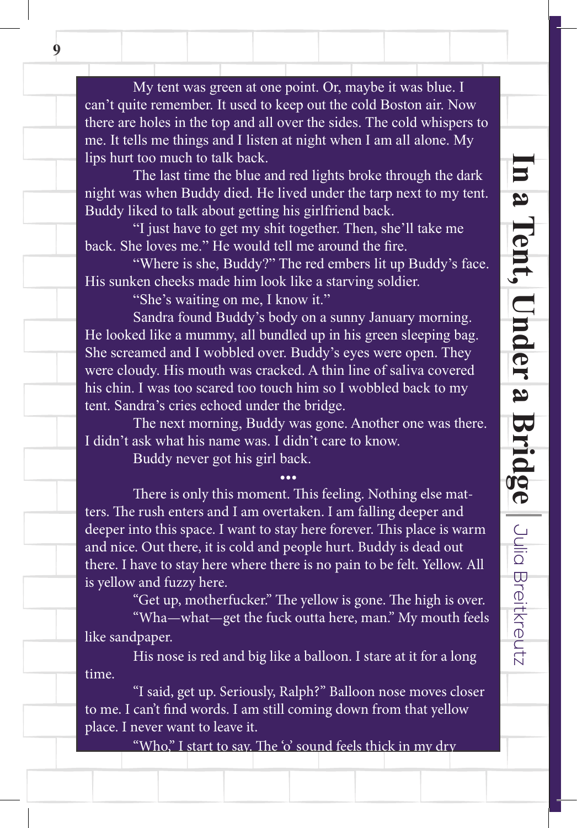My tent was green at one point. Or, maybe it was blue. I can't quite remember. It used to keep out the cold Boston air. Now there are holes in the top and all over the sides. The cold whispers to me. It tells me things and I listen at night when I am all alone. My lips hurt too much to talk back.

The last time the blue and red lights broke through the dark night was when Buddy died. He lived under the tarp next to my tent. Buddy liked to talk about getting his girlfriend back.

"I just have to get my shit together. Then, she'll take me back. She loves me." He would tell me around the fire.

"Where is she, Buddy?" The red embers lit up Buddy's face. His sunken cheeks made him look like a starving soldier.

"She's waiting on me, I know it."

 Sandra found Buddy's body on a sunny January morning. He looked like a mummy, all bundled up in his green sleeping bag. She screamed and I wobbled over. Buddy's eyes were open. They were cloudy. His mouth was cracked. A thin line of saliva covered his chin. I was too scared too touch him so I wobbled back to my tent. Sandra's cries echoed under the bridge.

 The next morning, Buddy was gone. Another one was there. I didn't ask what his name was. I didn't care to know.

•••

Buddy never got his girl back.

There is only this moment. This feeling. Nothing else matters. The rush enters and I am overtaken. I am falling deeper and deeper into this space. I want to stay here forever. This place is warm and nice. Out there, it is cold and people hurt. Buddy is dead out there. I have to stay here where there is no pain to be felt. Yellow. All is yellow and fuzzy here.

"Get up, motherfucker." The yellow is gone. The high is over. "Wha—what—get the fuck outta here, man." My mouth feels like sandpaper.

His nose is red and big like a balloon. I stare at it for a long time.

"I said, get up. Seriously, Ralph?" Balloon nose moves closer to me. I can't find words. I am still coming down from that yellow place. I never want to leave it.

"Who," I start to say. The 'o' sound feels thick in my dry

**9**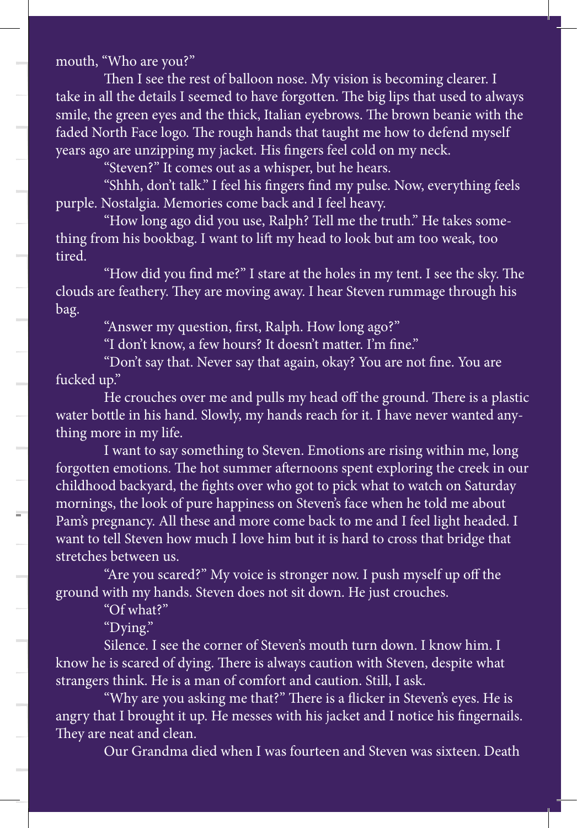mouth, "Who are you?"

Then I see the rest of balloon nose. My vision is becoming clearer. I take in all the details I seemed to have forgotten. The big lips that used to always smile, the green eyes and the thick, Italian eyebrows. The brown beanie with the faded North Face logo. The rough hands that taught me how to defend myself years ago are unzipping my jacket. His fingers feel cold on my neck.

"Steven?" It comes out as a whisper, but he hears.

"Shhh, don't talk." I feel his fingers find my pulse. Now, everything feels purple. Nostalgia. Memories come back and I feel heavy.

"How long ago did you use, Ralph? Tell me the truth." He takes something from his bookbag. I want to lift my head to look but am too weak, too tired.

"How did you find me?" I stare at the holes in my tent. I see the sky. The clouds are feathery. They are moving away. I hear Steven rummage through his bag.

"Answer my question, first, Ralph. How long ago?"

"I don't know, a few hours? It doesn't matter. I'm fine."

"Don't say that. Never say that again, okay? You are not fine. You are fucked up."

He crouches over me and pulls my head off the ground. There is a plastic water bottle in his hand. Slowly, my hands reach for it. I have never wanted anything more in my life.

I want to say something to Steven. Emotions are rising within me, long forgotten emotions. The hot summer afternoons spent exploring the creek in our childhood backyard, the fights over who got to pick what to watch on Saturday mornings, the look of pure happiness on Steven's face when he told me about Pam's pregnancy. All these and more come back to me and I feel light headed. I want to tell Steven how much I love him but it is hard to cross that bridge that stretches between us.

"Are you scared?" My voice is stronger now. I push myself up off the ground with my hands. Steven does not sit down. He just crouches.

"Of what?"

"Dying."

 $=$ 

Silence. I see the corner of Steven's mouth turn down. I know him. I know he is scared of dying. There is always caution with Steven, despite what strangers think. He is a man of comfort and caution. Still, I ask.

"Why are you asking me that?" There is a flicker in Steven's eyes. He is angry that I brought it up. He messes with his jacket and I notice his fingernails. They are neat and clean.

Our Grandma died when I was fourteen and Steven was sixteen. Death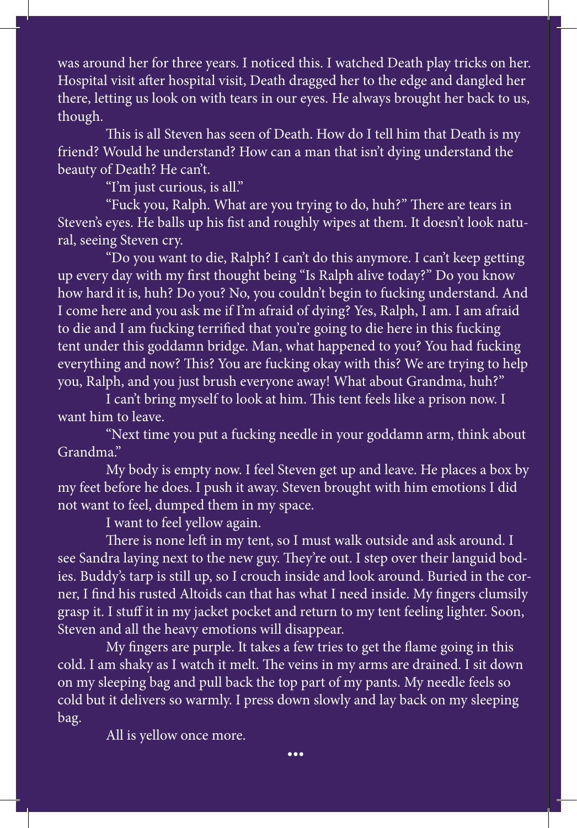was around her for three years. I noticed this. I watched Death play tricks on her. Hospital visit after hospital visit, Death dragged her to the edge and dangled her there, letting us look on with tears in our eyes. He always brought her back to us, smile, the green eyes and the thick, Italian eyes and the thick, Italian eyes and the brown beaning the brown beaning the brown beaning the brown beaning the brown beaning the brown beaning the brown beaning the brown bean though.

This is all Steven has seen of Death. How do I tell him that Death is my friend? Would he understand? How can a man that isn't dying understand the beauty of Death? He can't. The hears of as whispers of a whisper part of a whisper

"I'm just curious, is all." I feel his find my pulse. Now, everything feels and my pulse. Now, everything feels

"Fuck you, Ralph. What are you trying to do, huh?" There are tears in Steven's eyes. He balls up his fist and roughly wipes at them. It doesn't look natuthing from his bookbag. I want to look but an too weak, too weak, too weak, too weak, too weak, too weak, too weak, too weak, too weak, too weak, too weak, too weak, too weak, too weak, too weak, too weak, too weak, too we

up every day with my first thought being "Is Ralph alive today?" Do you know how hard it is, huh? Do you? No, you couldn't begin to fucking understand. And I come here and you ask me if I'm afraid of dying? Yes, Ralph, I am. I am afraid to die and I am fucking terrified that you're going to die here in this fucking tent under this goddamn bridge. Man, what happened to you? You had fucking everything and now? This? You are fucking okay with this? We are trying to help you, Ralph, and you just brush everyone away! What about Grandma, huh?" "Do you want to die, Ralph? I can't do this anymore. I can't keep getting

I can't bring myself to look at him. This tent feels like a prison now. I want him to leave. Slowly, my hands reach for it. I have never wanted any  $\mathbb{R}^n$ 

thing more in my life. "Next time you put a fucking needle in your goddamn arm, think about  $12.7$  want to say something to Steven. Emotions are rising with me, longitudinal me, longitudinal me, longitudinal me, longitudinal me, longitudinal me, longitudinal me, longitudinal me, longitudinal me, longitudinal me, Grandma."

My body is empty now. I feel Steven get up and leave. He places a box by my feet before he does. I push it away. Steven brought with him emotions I did not want to feel, dumped them in my space. The told me about to the told me about the told me about the told me

**Pame's pregnancy. All these and more comparisons of the interval in the I feel light headed. I feel light headed. I feel light headed. I feel light headed. I feel light headed. I feel light headed. I feel light headed. I** 

There is none left in my tent, so I must walk outside and ask around. I see Sandra laying next to the new guy. They're out. I step over their languid bodies. Buddy's tarp is still up, so I crouch inside and look around. Buried in the corner, I find his rusted Altoids can that has what I need inside. My fingers clumsily grasp it. I stuff it in my jacket pocket and return to my tent feeling lighter. Soon, Steven and all the heavy emotions will disappear.

My fingers are purple. It takes a few tries to get the flame going in this cold. I am shaky as I watch it melt. The veins in my arms are drained. I sit down on my sleeping bag and pull back the top part of my pants. My needle feels so cold but it delivers so warmly. I press down slowly and lay back on my sleeping angry that I brought it up. He messes with his jacket and I notice his final state his final state his final s bag.

•••

Our Grandma died when I was fourteen and Steven was sixteen. Death

All is yellow once more.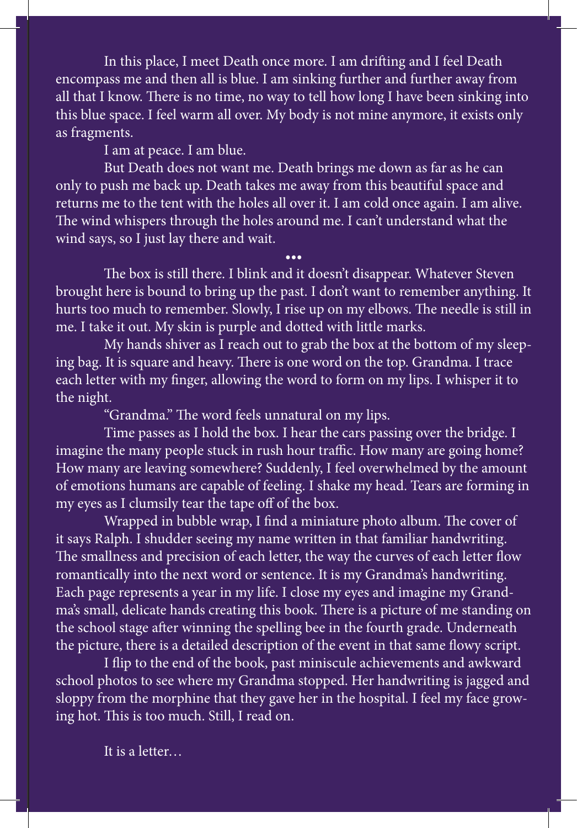In this place, I meet Death once more. I am drifting and I feel Death encompass me and then all is blue. I am sinking further and further away from all that I know. There is no time, no way to tell how long I have been sinking into this blue space. I feel warm all over. My body is not mine anymore, it exists only as fragments.

I am at peace. I am blue.

But Death does not want me. Death brings me down as far as he can only to push me back up. Death takes me away from this beautiful space and returns me to the tent with the holes all over it. I am cold once again. I am alive. The wind whispers through the holes around me. I can't understand what the wind says, so I just lay there and wait.

••• The box is still there. I blink and it doesn't disappear. Whatever Steven brought here is bound to bring up the past. I don't want to remember anything. It hurts too much to remember. Slowly, I rise up on my elbows. The needle is still in me. I take it out. My skin is purple and dotted with little marks.

My hands shiver as I reach out to grab the box at the bottom of my sleeping bag. It is square and heavy. There is one word on the top. Grandma. I trace each letter with my finger, allowing the word to form on my lips. I whisper it to the night.

"Grandma." The word feels unnatural on my lips.

Time passes as I hold the box. I hear the cars passing over the bridge. I imagine the many people stuck in rush hour traffic. How many are going home? How many are leaving somewhere? Suddenly, I feel overwhelmed by the amount of emotions humans are capable of feeling. I shake my head. Tears are forming in my eyes as I clumsily tear the tape off of the box.

Wrapped in bubble wrap, I find a miniature photo album. The cover of it says Ralph. I shudder seeing my name written in that familiar handwriting. The smallness and precision of each letter, the way the curves of each letter flow romantically into the next word or sentence. It is my Grandma's handwriting. Each page represents a year in my life. I close my eyes and imagine my Grandma's small, delicate hands creating this book. There is a picture of me standing on the school stage after winning the spelling bee in the fourth grade. Underneath the picture, there is a detailed description of the event in that same flowy script.

I flip to the end of the book, past miniscule achievements and awkward school photos to see where my Grandma stopped. Her handwriting is jagged and sloppy from the morphine that they gave her in the hospital. I feel my face growing hot. This is too much. Still, I read on.

It is a letter…